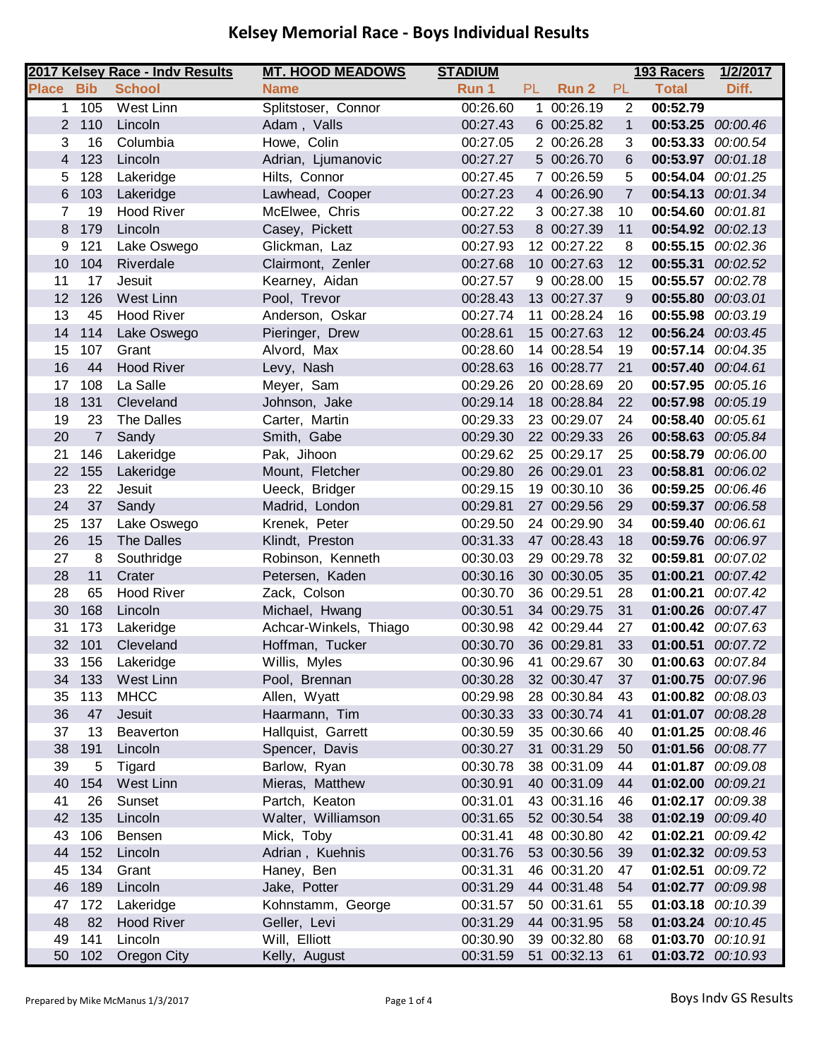|                |                | 2017 Kelsey Race - Indv Results | <b>MT. HOOD MEADOWS</b> | <b>STADIUM</b> |     |             |                | 193 Racers        | 1/2/2017 |
|----------------|----------------|---------------------------------|-------------------------|----------------|-----|-------------|----------------|-------------------|----------|
| <b>Place</b>   | <b>Bib</b>     | <b>School</b>                   | <b>Name</b>             | Run 1          | PL. | Run 2       | PL             | <b>Total</b>      | Diff.    |
| 1              | 105            | West Linn                       | Splitstoser, Connor     | 00:26.60       | 1.  | 00:26.19    | $\overline{2}$ | 00:52.79          |          |
| 2 <sup>1</sup> | 110            | Lincoln                         | Adam, Valls             | 00:27.43       |     | 6 00:25.82  | $\mathbf{1}$   | 00:53.25 00:00.46 |          |
| 3              | 16             | Columbia                        | Howe, Colin             | 00:27.05       |     | 2 00:26.28  | 3              | 00:53.33 00:00.54 |          |
| $\overline{4}$ | 123            | Lincoln                         | Adrian, Ljumanovic      | 00:27.27       |     | 5 00:26.70  | 6              | 00:53.97 00:01.18 |          |
| 5              | 128            | Lakeridge                       | Hilts, Connor           | 00:27.45       |     | 7 00:26.59  | 5              | 00:54.04 00:01.25 |          |
| 6              | 103            | Lakeridge                       | Lawhead, Cooper         | 00:27.23       |     | 4 00:26.90  | 7              | 00:54.13 00:01.34 |          |
| $\overline{7}$ | 19             | <b>Hood River</b>               | McElwee, Chris          | 00:27.22       |     | 3 00:27.38  | 10             | 00:54.60          | 00:01.81 |
| 8              | 179            | Lincoln                         | Casey, Pickett          | 00:27.53       |     | 8 00:27.39  | 11             | 00:54.92 00:02.13 |          |
| 9              | 121            | Lake Oswego                     | Glickman, Laz           | 00:27.93       |     | 12 00:27.22 | 8              | 00:55.15 00:02.36 |          |
| 10             | 104            | Riverdale                       | Clairmont, Zenler       | 00:27.68       |     | 10 00:27.63 | 12             | 00:55.31          | 00:02.52 |
| 11             | 17             | Jesuit                          | Kearney, Aidan          | 00:27.57       |     | 9 00:28.00  | 15             | 00:55.57 00:02.78 |          |
| 12             | 126            | West Linn                       | Pool, Trevor            | 00:28.43       |     | 13 00:27.37 | 9              | 00:55.80 00:03.01 |          |
| 13             | 45             | Hood River                      | Anderson, Oskar         | 00:27.74       |     | 11 00:28.24 | 16             | 00:55.98          | 00:03.19 |
| 14             | 114            | Lake Oswego                     | Pieringer, Drew         | 00:28.61       |     | 15 00:27.63 | 12             | 00:56.24 00:03.45 |          |
| 15             | 107            | Grant                           | Alvord, Max             | 00:28.60       |     | 14 00:28.54 | 19             | 00:57.14 00:04.35 |          |
| 16             | 44             | <b>Hood River</b>               | Levy, Nash              | 00:28.63       |     | 16 00:28.77 | 21             | 00:57.40 00:04.61 |          |
| 17             | 108            | La Salle                        | Meyer, Sam              | 00:29.26       |     | 20 00:28.69 | 20             | 00:57.95          | 00:05.16 |
| 18             | 131            | Cleveland                       | Johnson, Jake           | 00:29.14       |     | 18 00:28.84 | 22             | 00:57.98          | 00:05.19 |
| 19             | 23             | The Dalles                      | Carter, Martin          | 00:29.33       |     | 23 00:29.07 | 24             | 00:58.40          | 00:05.61 |
| 20             | $\overline{7}$ | Sandy                           | Smith, Gabe             | 00:29.30       |     | 22 00:29.33 | 26             | 00:58.63 00:05.84 |          |
| 21             | 146            | Lakeridge                       | Pak, Jihoon             | 00:29.62       |     | 25 00:29.17 | 25             | 00:58.79          | 00:06.00 |
| 22             | 155            | Lakeridge                       | Mount, Fletcher         | 00:29.80       |     | 26 00:29.01 | 23             | 00:58.81          | 00:06.02 |
| 23             | 22             | Jesuit                          | Ueeck, Bridger          | 00:29.15       |     | 19 00:30.10 | 36             | 00:59.25          | 00:06.46 |
| 24             | 37             | Sandy                           | Madrid, London          | 00:29.81       |     | 27 00:29.56 | 29             | 00:59.37 00:06.58 |          |
| 25             | 137            | Lake Oswego                     | Krenek, Peter           | 00:29.50       |     | 24 00:29.90 | 34             | 00:59.40          | 00:06.61 |
| 26             | 15             | <b>The Dalles</b>               | Klindt, Preston         | 00:31.33       |     | 47 00:28.43 | 18             | 00:59.76 00:06.97 |          |
| 27             | 8              | Southridge                      | Robinson, Kenneth       | 00:30.03       |     | 29 00:29.78 | 32             | 00:59.81          | 00:07.02 |
| 28             | 11             | Crater                          | Petersen, Kaden         | 00:30.16       |     | 30 00:30.05 | 35             | 01:00.21          | 00:07.42 |
| 28             | 65             | Hood River                      | Zack, Colson            | 00:30.70       |     | 36 00:29.51 | 28             | 01:00.21          | 00:07.42 |
| 30             | 168            | Lincoln                         | Michael, Hwang          | 00:30.51       |     | 34 00:29.75 | 31             | 01:00.26          | 00:07.47 |
| 31             | 173            | Lakeridge                       | Achcar-Winkels, Thiago  | 00:30.98       |     | 42 00:29.44 | 27             | 01:00.42          | 00:07.63 |
| 32             | 101            | Cleveland                       | Hoffman, Tucker         | 00:30.70       |     | 36 00:29.81 | 33             | 01:00.51 00:07.72 |          |
| 33             | 156            | Lakeridge                       | Willis, Myles           | 00:30.96       |     | 41 00:29.67 | 30             | 01:00.63 00:07.84 |          |
| 34             | 133            | West Linn                       | Pool, Brennan           | 00:30.28       |     | 32 00:30.47 | 37             | 01:00.75 00:07.96 |          |
| 35             | 113            | <b>MHCC</b>                     | Allen, Wyatt            | 00:29.98       |     | 28 00:30.84 | 43             | 01:00.82 00:08.03 |          |
| 36             | 47             | Jesuit                          | Haarmann, Tim           | 00:30.33       |     | 33 00:30.74 | 41             | 01:01.07 00:08.28 |          |
| 37             | 13             | Beaverton                       | Hallquist, Garrett      | 00:30.59       |     | 35 00:30.66 | 40             | 01:01.25          | 00:08.46 |
| 38             | 191            | Lincoln                         | Spencer, Davis          | 00:30.27       |     | 31 00:31.29 | 50             | 01:01.56 00:08.77 |          |
| 39             | 5              | Tigard                          | Barlow, Ryan            | 00:30.78       |     | 38 00:31.09 | 44             | 01:01.87 00:09.08 |          |
| 40             | 154            | West Linn                       | Mieras, Matthew         | 00:30.91       |     | 40 00:31.09 | 44             | 01:02.00 00:09.21 |          |
| 41             | 26             | Sunset                          | Partch, Keaton          | 00:31.01       |     | 43 00:31.16 | 46             | 01:02.17 00:09.38 |          |
| 42             | 135            | Lincoln                         | Walter, Williamson      | 00:31.65       |     | 52 00:30.54 | 38             | 01:02.19 00:09.40 |          |
| 43             | 106            | Bensen                          | Mick, Toby              | 00:31.41       |     | 48 00:30.80 | 42             | 01:02.21          | 00:09.42 |
| 44             | 152            | Lincoln                         | Adrian, Kuehnis         | 00:31.76       |     | 53 00:30.56 | 39             | 01:02.32 00:09.53 |          |
| 45             | 134            | Grant                           | Haney, Ben              | 00:31.31       |     | 46 00:31.20 | 47             | 01:02.51 00:09.72 |          |
| 46             | 189            | Lincoln                         | Jake, Potter            | 00:31.29       |     | 44 00:31.48 | 54             | 01:02.77 00:09.98 |          |
| 47             | 172            | Lakeridge                       | Kohnstamm, George       | 00:31.57       |     | 50 00:31.61 | 55             | 01:03.18          | 00:10.39 |
| 48             | 82             | <b>Hood River</b>               | Geller, Levi            | 00:31.29       |     | 44 00:31.95 | 58             | 01:03.24 00:10.45 |          |
| 49             | 141            | Lincoln                         | Will, Elliott           | 00:30.90       |     | 39 00:32.80 | 68             | 01:03.70 00:10.91 |          |
| 50             | 102            | Oregon City                     | Kelly, August           | 00:31.59       |     | 51 00:32.13 | 61             | 01:03.72 00:10.93 |          |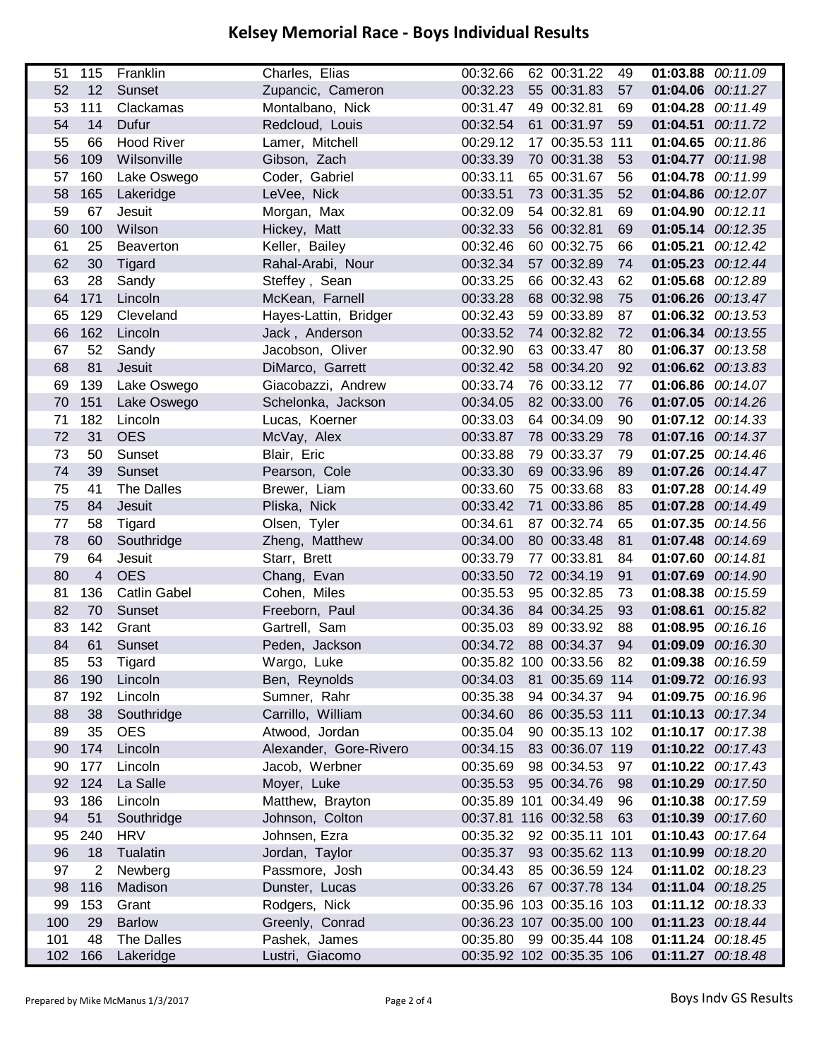| 51  | 115            | Franklin            | Charles, Elias         | 00:32.66              | 62 00:31.22               | 49 |                   | 01:03.88 00:11.09 |
|-----|----------------|---------------------|------------------------|-----------------------|---------------------------|----|-------------------|-------------------|
| 52  | 12             | Sunset              | Zupancic, Cameron      | 00:32.23              | 55 00:31.83               | 57 |                   | 01:04.06 00:11.27 |
| 53  | 111            | Clackamas           | Montalbano, Nick       | 00:31.47              | 49 00:32.81               | 69 |                   | 01:04.28 00:11.49 |
| 54  | 14             | Dufur               | Redcloud, Louis        | 00:32.54              | 61 00:31.97               | 59 | 01:04.51 00:11.72 |                   |
| 55  | 66             | <b>Hood River</b>   | Lamer, Mitchell        | 00:29.12              | 17 00:35.53 111           |    |                   | 01:04.65 00:11.86 |
| 56  | 109            | Wilsonville         | Gibson, Zach           | 00:33.39              | 70 00:31.38               | 53 |                   | 01:04.77 00:11.98 |
| 57  | 160            | Lake Oswego         | Coder, Gabriel         | 00:33.11              | 65 00:31.67               | 56 |                   | 01:04.78 00:11.99 |
| 58  | 165            | Lakeridge           | LeVee, Nick            | 00:33.51              | 73 00:31.35               | 52 |                   | 01:04.86 00:12.07 |
| 59  | 67             | Jesuit              | Morgan, Max            | 00:32.09              | 54 00:32.81               | 69 | 01:04.90 00:12.11 |                   |
| 60  | 100            | Wilson              | Hickey, Matt           | 00:32.33              | 56 00:32.81               | 69 |                   | 01:05.14 00:12.35 |
| 61  | 25             | Beaverton           | Keller, Bailey         | 00:32.46              | 60 00:32.75               | 66 | 01:05.21 00:12.42 |                   |
| 62  | 30             | Tigard              | Rahal-Arabi, Nour      | 00:32.34              | 57 00:32.89               | 74 |                   | 01:05.23 00:12.44 |
| 63  | 28             | Sandy               | Steffey, Sean          | 00:33.25              | 66 00:32.43               | 62 |                   | 01:05.68 00:12.89 |
| 64  | 171            | Lincoln             | McKean, Farnell        | 00:33.28              | 68 00:32.98               | 75 |                   | 01:06.26 00:13.47 |
| 65  | 129            | Cleveland           | Hayes-Lattin, Bridger  | 00:32.43              | 59 00:33.89               | 87 |                   | 01:06.32 00:13.53 |
| 66  | 162            | Lincoln             | Jack, Anderson         | 00:33.52              | 74 00:32.82               | 72 |                   | 01:06.34 00:13.55 |
| 67  | 52             | Sandy               | Jacobson, Oliver       | 00:32.90              | 63 00:33.47               | 80 |                   | 01:06.37 00:13.58 |
| 68  | 81             | <b>Jesuit</b>       | DiMarco, Garrett       | 00:32.42              | 58 00:34.20               | 92 |                   | 01:06.62 00:13.83 |
| 69  | 139            | Lake Oswego         | Giacobazzi, Andrew     | 00:33.74              | 76 00:33.12               | 77 |                   | 01:06.86 00:14.07 |
| 70  | 151            | Lake Oswego         | Schelonka, Jackson     | 00:34.05              | 82 00:33.00               | 76 |                   | 01:07.05 00:14.26 |
| 71  | 182            | Lincoln             | Lucas, Koerner         | 00:33.03              | 64 00:34.09               | 90 |                   | 01:07.12 00:14.33 |
| 72  | 31             | <b>OES</b>          | McVay, Alex            | 00:33.87              | 78 00:33.29               | 78 |                   | 01:07.16 00:14.37 |
| 73  | 50             | Sunset              | Blair, Eric            | 00:33.88              | 79 00:33.37               | 79 |                   | 01:07.25 00:14.46 |
| 74  | 39             | Sunset              | Pearson, Cole          | 00:33.30              | 69 00:33.96               | 89 |                   | 01:07.26 00:14.47 |
| 75  | 41             | <b>The Dalles</b>   | Brewer, Liam           | 00:33.60              | 75 00:33.68               | 83 |                   | 01:07.28 00:14.49 |
| 75  | 84             | Jesuit              | Pliska, Nick           | 00:33.42              | 71 00:33.86               | 85 |                   | 01:07.28 00:14.49 |
| 77  | 58             | Tigard              | Olsen, Tyler           | 00:34.61              | 87 00:32.74               | 65 |                   | 01:07.35 00:14.56 |
| 78  | 60             | Southridge          | Zheng, Matthew         | 00:34.00              | 80 00:33.48               | 81 |                   | 01:07.48 00:14.69 |
| 79  | 64             | Jesuit              | Starr, Brett           | 00:33.79              | 77 00:33.81               | 84 | 01:07.60 00:14.81 |                   |
| 80  | 4              | <b>OES</b>          | Chang, Evan            | 00:33.50              | 72 00:34.19               | 91 | 01:07.69          | 00:14.90          |
| 81  | 136            | <b>Catlin Gabel</b> | Cohen, Miles           | 00:35.53              | 95 00:32.85               | 73 | 01:08.38          | 00:15.59          |
| 82  | 70             | Sunset              | Freeborn, Paul         | 00:34.36              | 84 00:34.25               | 93 | 01:08.61          | 00:15.82          |
| 83  | 142            | Grant               | Gartrell, Sam          | 00:35.03              | 89 00:33.92               | 88 |                   | 01:08.95 00:16.16 |
| 84  | 61             | Sunset              | Peden, Jackson         | 00:34.72 88 00:34.37  |                           | 94 | 01:09.09 00:16.30 |                   |
| 85  | 53             | Tigard              | Wargo, Luke            |                       | 00:35.82 100 00:33.56     | 82 | 01:09.38 00:16.59 |                   |
| 86  | 190            | Lincoln             | Ben, Reynolds          | 00:34.03              | 81 00:35.69 114           |    | 01:09.72 00:16.93 |                   |
| 87  | 192            | Lincoln             | Sumner, Rahr           | 00:35.38              | 94 00:34.37               | 94 |                   | 01:09.75 00:16.96 |
| 88  | 38             | Southridge          | Carrillo, William      | 00:34.60              | 86 00:35.53 111           |    |                   | 01:10.13 00:17.34 |
| 89  | 35             | <b>OES</b>          | Atwood, Jordan         | 00:35.04              | 90 00:35.13 102           |    |                   | 01:10.17 00:17.38 |
| 90  | 174            | Lincoln             | Alexander, Gore-Rivero | 00:34.15              | 83 00:36.07 119           |    |                   | 01:10.22 00:17.43 |
| 90  | 177            | Lincoln             | Jacob, Werbner         | 00:35.69              | 98 00:34.53               | 97 |                   | 01:10.22 00:17.43 |
| 92  | 124            | La Salle            | Moyer, Luke            | 00:35.53              | 95 00:34.76               | 98 |                   | 01:10.29 00:17.50 |
| 93  | 186            | Lincoln             | Matthew, Brayton       | 00:35.89 101 00:34.49 |                           | 96 |                   | 01:10.38 00:17.59 |
| 94  | 51             | Southridge          | Johnson, Colton        | 00:37.81 116 00:32.58 |                           | 63 |                   | 01:10.39 00:17.60 |
| 95  | 240            | <b>HRV</b>          | Johnsen, Ezra          | 00:35.32              | 92 00:35.11 101           |    |                   | 01:10.43 00:17.64 |
| 96  | 18             | Tualatin            | Jordan, Taylor         | 00:35.37              | 93 00:35.62 113           |    |                   | 01:10.99 00:18.20 |
| 97  | $\overline{2}$ | Newberg             | Passmore, Josh         | 00:34.43              | 85 00:36.59 124           |    |                   | 01:11.02 00:18.23 |
| 98  | 116            | Madison             | Dunster, Lucas         | 00:33.26              | 67 00:37.78 134           |    |                   | 01:11.04 00:18.25 |
| 99  | 153            | Grant               | Rodgers, Nick          |                       | 00:35.96 103 00:35.16 103 |    |                   | 01:11.12 00:18.33 |
| 100 | 29             | <b>Barlow</b>       | Greenly, Conrad        |                       | 00:36.23 107 00:35.00 100 |    |                   | 01:11.23 00:18.44 |
| 101 | 48             | <b>The Dalles</b>   | Pashek, James          | 00:35.80              | 99 00:35.44 108           |    |                   | 01:11.24 00:18.45 |
| 102 | 166            | Lakeridge           | Lustri, Giacomo        |                       | 00:35.92 102 00:35.35 106 |    |                   | 01:11.27 00:18.48 |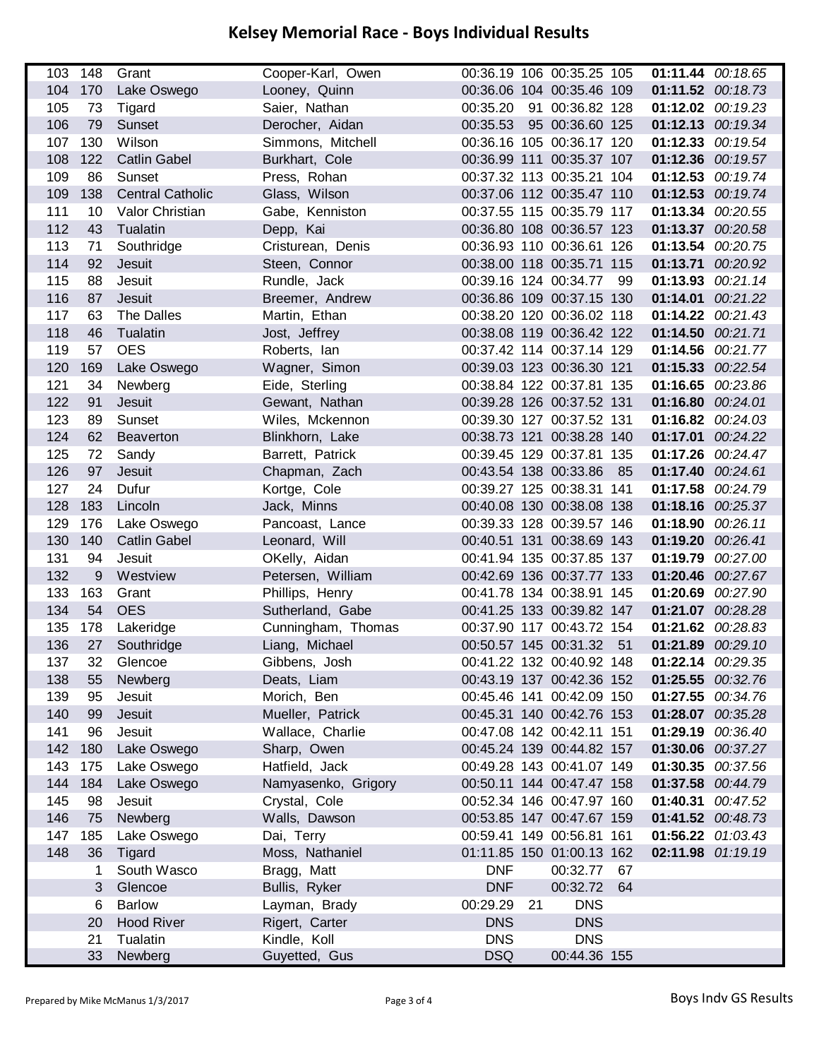|     | 103 148 | Grant                   | Cooper-Karl, Owen   |                       | 00:36.19 106 00:35.25 105 |                   | 01:11.44 00:18.65 |
|-----|---------|-------------------------|---------------------|-----------------------|---------------------------|-------------------|-------------------|
| 104 | 170     | Lake Oswego             | Looney, Quinn       |                       | 00:36.06 104 00:35.46 109 |                   | 01:11.52 00:18.73 |
| 105 | 73      | Tigard                  | Saier, Nathan       | 00:35.20              | 91 00:36.82 128           |                   | 01:12.02 00:19.23 |
| 106 | 79      | Sunset                  | Derocher, Aidan     | 00:35.53              | 95 00:36.60 125           |                   | 01:12.13 00:19.34 |
| 107 | 130     | Wilson                  | Simmons, Mitchell   |                       | 00:36.16 105 00:36.17 120 |                   | 01:12.33 00:19.54 |
| 108 | 122     | <b>Catlin Gabel</b>     | Burkhart, Cole      |                       | 00:36.99 111 00:35.37 107 |                   | 01:12.36 00:19.57 |
| 109 | 86      | Sunset                  | Press, Rohan        |                       | 00:37.32 113 00:35.21 104 |                   | 01:12.53 00:19.74 |
| 109 | 138     | <b>Central Catholic</b> | Glass, Wilson       |                       | 00:37.06 112 00:35.47 110 |                   | 01:12.53 00:19.74 |
| 111 | 10      | Valor Christian         | Gabe, Kenniston     |                       | 00:37.55 115 00:35.79 117 |                   | 01:13.34 00:20.55 |
| 112 | 43      | Tualatin                | Depp, Kai           |                       | 00:36.80 108 00:36.57 123 | 01:13.37 00:20.58 |                   |
| 113 | 71      | Southridge              | Cristurean, Denis   |                       | 00:36.93 110 00:36.61 126 |                   | 01:13.54 00:20.75 |
| 114 | 92      | Jesuit                  | Steen, Connor       |                       | 00:38.00 118 00:35.71 115 | 01:13.71 00:20.92 |                   |
| 115 | 88      | Jesuit                  | Rundle, Jack        | 00:39.16 124 00:34.77 | 99                        |                   | 01:13.93 00:21.14 |
| 116 | 87      | Jesuit                  | Breemer, Andrew     |                       | 00:36.86 109 00:37.15 130 | 01:14.01 00:21.22 |                   |
| 117 | 63      | The Dalles              | Martin, Ethan       |                       | 00:38.20 120 00:36.02 118 |                   | 01:14.22 00:21.43 |
| 118 | 46      | Tualatin                | Jost, Jeffrey       |                       | 00:38.08 119 00:36.42 122 | 01:14.50 00:21.71 |                   |
| 119 | 57      | <b>OES</b>              | Roberts, Ian        |                       | 00:37.42 114 00:37.14 129 | 01:14.56 00:21.77 |                   |
| 120 | 169     | Lake Oswego             | Wagner, Simon       |                       | 00:39.03 123 00:36.30 121 |                   | 01:15.33 00:22.54 |
| 121 | 34      | Newberg                 | Eide, Sterling      |                       | 00:38.84 122 00:37.81 135 |                   | 01:16.65 00:23.86 |
| 122 | 91      | Jesuit                  | Gewant, Nathan      |                       | 00:39.28 126 00:37.52 131 | 01:16.80 00:24.01 |                   |
| 123 | 89      | Sunset                  | Wiles, Mckennon     |                       | 00:39.30 127 00:37.52 131 |                   | 01:16.82 00:24.03 |
| 124 | 62      | Beaverton               | Blinkhorn, Lake     |                       | 00:38.73 121 00:38.28 140 | 01:17.01 00:24.22 |                   |
| 125 | 72      | Sandy                   | Barrett, Patrick    |                       | 00:39.45 129 00:37.81 135 |                   | 01:17.26 00:24.47 |
| 126 | 97      | Jesuit                  | Chapman, Zach       | 00:43.54 138 00:33.86 | 85                        | 01:17.40 00:24.61 |                   |
| 127 | 24      | Dufur                   | Kortge, Cole        |                       | 00:39.27 125 00:38.31 141 |                   | 01:17.58 00:24.79 |
| 128 | 183     | Lincoln                 | Jack, Minns         |                       | 00:40.08 130 00:38.08 138 |                   | 01:18.16 00:25.37 |
| 129 | 176     | Lake Oswego             | Pancoast, Lance     |                       | 00:39.33 128 00:39.57 146 | 01:18.90 00:26.11 |                   |
| 130 | 140     | <b>Catlin Gabel</b>     | Leonard, Will       |                       | 00:40.51 131 00:38.69 143 | 01:19.20 00:26.41 |                   |
| 131 | 94      | Jesuit                  | OKelly, Aidan       |                       | 00:41.94 135 00:37.85 137 | 01:19.79 00:27.00 |                   |
| 132 | 9       | Westview                | Petersen, William   |                       | 00:42.69 136 00:37.77 133 |                   | 01:20.46 00:27.67 |
| 133 | 163     | Grant                   | Phillips, Henry     |                       | 00:41.78 134 00:38.91 145 |                   | 01:20.69 00:27.90 |
| 134 | 54      | <b>OES</b>              | Sutherland, Gabe    |                       | 00:41.25 133 00:39.82 147 |                   | 01:21.07 00:28.28 |
| 135 | 178     | Lakeridge               | Cunningham, Thomas  |                       | 00:37.90 117 00:43.72 154 |                   | 01:21.62 00:28.83 |
| 136 | 27      | Southridge              | Liang, Michael      |                       | 00:50.57 145 00:31.32 51  | 01:21.89 00:29.10 |                   |
| 137 |         | 32 Glencoe              | Gibbens, Josh       |                       | 00:41.22 132 00:40.92 148 | 01:22.14 00:29.35 |                   |
| 138 | 55      | Newberg                 | Deats, Liam         |                       | 00:43.19 137 00:42.36 152 |                   | 01:25.55 00:32.76 |
| 139 | 95      | Jesuit                  | Morich, Ben         |                       | 00:45.46 141 00:42.09 150 |                   | 01:27.55 00:34.76 |
| 140 | 99      | Jesuit                  | Mueller, Patrick    |                       | 00:45.31 140 00:42.76 153 |                   | 01:28.07 00:35.28 |
| 141 | 96      | Jesuit                  | Wallace, Charlie    |                       | 00:47.08 142 00:42.11 151 |                   | 01:29.19 00:36.40 |
| 142 | 180     | Lake Oswego             | Sharp, Owen         |                       | 00:45.24 139 00:44.82 157 |                   | 01:30.06 00:37.27 |
| 143 | 175     | Lake Oswego             | Hatfield, Jack      |                       | 00:49.28 143 00:41.07 149 |                   | 01:30.35 00:37.56 |
| 144 | 184     | Lake Oswego             | Namyasenko, Grigory |                       | 00:50.11 144 00:47.47 158 |                   | 01:37.58 00:44.79 |
| 145 | 98      | Jesuit                  | Crystal, Cole       |                       | 00:52.34 146 00:47.97 160 |                   | 01:40.31 00:47.52 |
| 146 | 75      | Newberg                 | Walls, Dawson       |                       | 00:53.85 147 00:47.67 159 |                   | 01:41.52 00:48.73 |
| 147 | 185     | Lake Oswego             | Dai, Terry          |                       | 00:59.41 149 00:56.81 161 |                   | 01:56.22 01:03.43 |
| 148 | 36      | Tigard                  | Moss, Nathaniel     |                       | 01:11.85 150 01:00.13 162 |                   | 02:11.98 01:19.19 |
|     | 1       | South Wasco             | Bragg, Matt         | <b>DNF</b>            | 00:32.77<br>67            |                   |                   |
|     | 3       | Glencoe                 | Bullis, Ryker       | <b>DNF</b>            | 00:32.72<br>64            |                   |                   |
|     | 6       | <b>Barlow</b>           | Layman, Brady       | 00:29.29<br>21        | <b>DNS</b>                |                   |                   |
|     | 20      | <b>Hood River</b>       | Rigert, Carter      | <b>DNS</b>            | <b>DNS</b>                |                   |                   |
|     | 21      | Tualatin                | Kindle, Koll        | <b>DNS</b>            | <b>DNS</b>                |                   |                   |
|     | 33      | Newberg                 | Guyetted, Gus       | <b>DSQ</b>            | 00:44.36 155              |                   |                   |